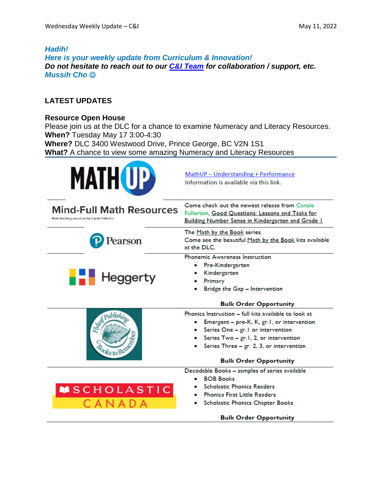# *Hadih! Here is your weekly update from Curriculum & Innovation! Do not hesitate to reach out to our C&I [Team](https://www.sd57curriculumhub.com/who-are-we) for collaboration / support, etc. Mussih Cho*

# **LATEST UPDATES**

### **Resource Open House**

Please join us at the DLC for a chance to examine Numeracy and Literacy Resources. **When?** Tuesday May 17 3:00-4:30 **Where?** DLC 3400 Westwood Drive, Prince George, BC V2N 1S1 **What?** A chance to view some amazing Numeracy and Literacy [Resources](https://www.mathup.ca/?msclkid=3e845476d08c11ec87344c7093c260ca)

| <b>MATH UP</b>                                                                 | MathUP - Understanding + Performance<br>Information is available via this link.                                                                                                                                                                                  |
|--------------------------------------------------------------------------------|------------------------------------------------------------------------------------------------------------------------------------------------------------------------------------------------------------------------------------------------------------------|
| <b>Mind-Full Math Resources</b><br>Math teaching resources by Carole Fullerton | Come check out the newest release from Carole<br>Fullerton, Good Questions: Lessons and Tasks for<br>Building Number Sense in Kindergarten and Grade I                                                                                                           |
| 'earson                                                                        | The Math by the Book series.<br>Come see the beautiful Math by the Book kits available<br>at the DLC.                                                                                                                                                            |
| <b>Heggerty</b>                                                                | <b>Phonemic Awareness Instruction</b><br>Pre-Kindergarten<br>Kindergarten<br>Primary<br>Bridge the Gap - Intervention<br><b>Bulk Order Opportunity</b>                                                                                                           |
| Publish,<br>oks to Ren                                                         | Phonics Instruction - full kits available to look at<br>Emergent - pre-K, K, gr.1, or intervention<br>Series One - gr. I or intervention<br>Series Two - gr.1, 2, or intervention<br>Series Three $-$ gr. 2, 3, or intervention<br><b>Bulk Order Opportunity</b> |
| <b>MSCHOLASTIC</b><br>CANADA                                                   | Decodable Books - samples of series available<br><b>BOB Books</b><br><b>Scholastic Phonics Readers</b><br><b>Phonics First Little Readers</b><br>Scholastic Phonics Chapter Books<br><b>Bulk Order Opportunity</b>                                               |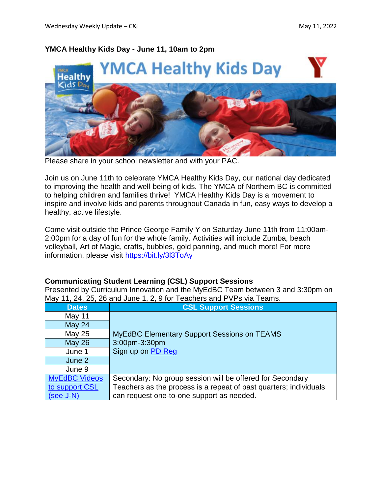# **YMCA Healthy Kids Day - June 11, 10am to 2pm**



Please share in your school newsletter and with your PAC.

Join us on June 11th to celebrate YMCA Healthy Kids Day, our national day dedicated to improving the health and well-being of kids. The YMCA of Northern BC is committed to helping children and families thrive! YMCA Healthy Kids Day is a movement to inspire and involve kids and parents throughout Canada in fun, easy ways to develop a healthy, active lifestyle.

Come visit outside the Prince George Family Y on Saturday June 11th from 11:00am-2:00pm for a day of fun for the whole family. Activities will include Zumba, beach volleyball, Art of Magic, crafts, bubbles, gold panning, and much more! For more information, please visit <https://bit.ly/3l3ToAy>

#### **Communicating Student Learning (CSL) Support Sessions**

Presented by Curriculum Innovation and the MyEdBC Team between 3 and 3:30pm on May 11, 24, 25, 26 and June 1, 2, 9 for Teachers and PVPs via Teams.

| <b>Dates</b>         | <b>CSL Support Sessions</b>                                       |
|----------------------|-------------------------------------------------------------------|
| May 11               |                                                                   |
| May 24               |                                                                   |
| May 25               | <b>MyEdBC Elementary Support Sessions on TEAMS</b>                |
| <b>May 26</b>        | 3:00pm-3:30pm                                                     |
| June 1               | Sign up on PD Reg                                                 |
| June 2               |                                                                   |
| June 9               |                                                                   |
| <b>MyEdBC Videos</b> | Secondary: No group session will be offered for Secondary         |
| to support CSL       | Teachers as the process is a repeat of past quarters; individuals |
| $(see J-N)$          | can request one-to-one support as needed.                         |